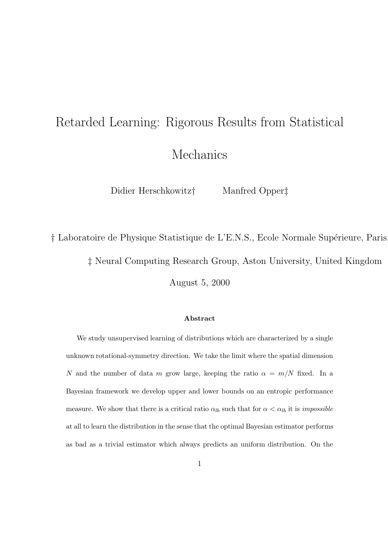## Retarded Learning: Rigorous Results from Statistical Mechanics

Didier Herschkowitz† Manfred Opper‡

† Laboratoire de Physique Statistique de L'E.N.S., Ecole Normale Supérieure, Paris

‡ Neural Computing Research Group, Aston University, United Kingdom

August 5, 2000

## Abstract

We study unsupervised learning of distributions which are characterized by a single unknown rotational-symmetry direction. We take the limit where the spatial dimension N and the number of data m grow large, keeping the ratio  $\alpha = m/N$  fixed. In a Bayesian framework we develop upper and lower bounds on an entropic performance measure. We show that there is a critical ratio  $\alpha_{lb}$  such that for  $\alpha < \alpha_{lb}$  it is *impossible* at all to learn the distribution in the sense that the optimal Bayesian estimator performs as bad as a trivial estimator which always predicts an uniform distribution. On the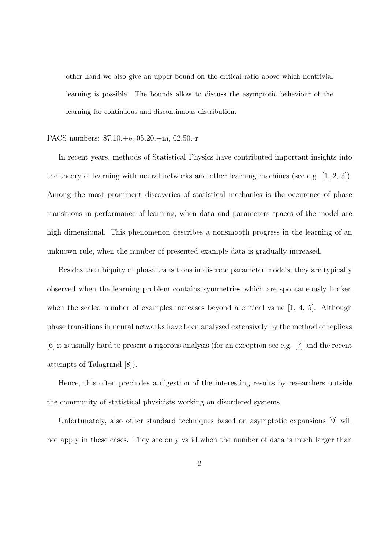other hand we also give an upper bound on the critical ratio above which nontrivial learning is possible. The bounds allow to discuss the asymptotic behaviour of the learning for continuous and discontinuous distribution.

## PACS numbers: 87.10.+e, 05.20.+m, 02.50.-r

In recent years, methods of Statistical Physics have contributed important insights into the theory of learning with neural networks and other learning machines (see e.g. [1, 2, 3]). Among the most prominent discoveries of statistical mechanics is the occurence of phase transitions in performance of learning, when data and parameters spaces of the model are high dimensional. This phenomenon describes a nonsmooth progress in the learning of an unknown rule, when the number of presented example data is gradually increased.

Besides the ubiquity of phase transitions in discrete parameter models, they are typically observed when the learning problem contains symmetries which are spontaneously broken when the scaled number of examples increases beyond a critical value [1, 4, 5]. Although phase transitions in neural networks have been analysed extensively by the method of replicas [6] it is usually hard to present a rigorous analysis (for an exception see e.g. [7] and the recent attempts of Talagrand [8]).

Hence, this often precludes a digestion of the interesting results by researchers outside the community of statistical physicists working on disordered systems.

Unfortunately, also other standard techniques based on asymptotic expansions [9] will not apply in these cases. They are only valid when the number of data is much larger than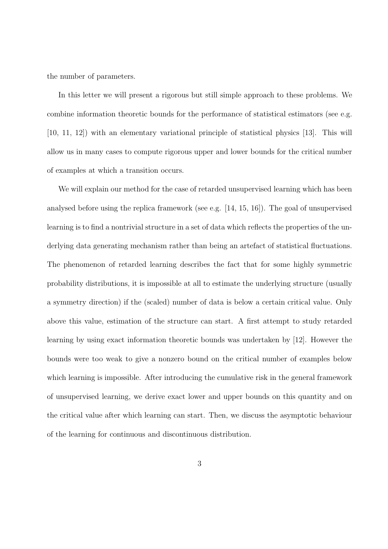the number of parameters.

In this letter we will present a rigorous but still simple approach to these problems. We combine information theoretic bounds for the performance of statistical estimators (see e.g. [10, 11, 12]) with an elementary variational principle of statistical physics [13]. This will allow us in many cases to compute rigorous upper and lower bounds for the critical number of examples at which a transition occurs.

We will explain our method for the case of retarded unsupervised learning which has been analysed before using the replica framework (see e.g. [14, 15, 16]). The goal of unsupervised learning is to find a nontrivial structure in a set of data which reflects the properties of the underlying data generating mechanism rather than being an artefact of statistical fluctuations. The phenomenon of retarded learning describes the fact that for some highly symmetric probability distributions, it is impossible at all to estimate the underlying structure (usually a symmetry direction) if the (scaled) number of data is below a certain critical value. Only above this value, estimation of the structure can start. A first attempt to study retarded learning by using exact information theoretic bounds was undertaken by [12]. However the bounds were too weak to give a nonzero bound on the critical number of examples below which learning is impossible. After introducing the cumulative risk in the general framework of unsupervised learning, we derive exact lower and upper bounds on this quantity and on the critical value after which learning can start. Then, we discuss the asymptotic behaviour of the learning for continuous and discontinuous distribution.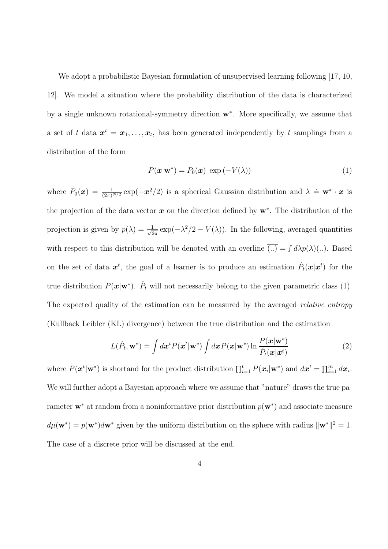We adopt a probabilistic Bayesian formulation of unsupervised learning following [17, 10, 12]. We model a situation where the probability distribution of the data is characterized by a single unknown rotational-symmetry direction w<sup>∗</sup> . More specifically, we assume that a set of t data  $x^t = x_1, \ldots, x_t$ , has been generated independently by t samplings from a distribution of the form

$$
P(\mathbf{x}|\mathbf{w}^*) = P_0(\mathbf{x}) \exp(-V(\lambda))
$$
\n(1)

where  $P_0(x) = \frac{1}{(2\pi)^{N/2}} \exp(-x^2/2)$  is a spherical Gaussian distribution and  $\lambda = \mathbf{w}^* \cdot x$  is the projection of the data vector  $x$  on the direction defined by  $w^*$ . The distribution of the projection is given by  $p(\lambda) = \frac{1}{\sqrt{2}}$  $\frac{1}{2\pi} \exp(-\lambda^2/2 - V(\lambda))$ . In the following, averaged quantities with respect to this distribution will be denoted with an overline  $(.) = \int d\lambda p(\lambda)(...)$ . Based on the set of data  $x^t$ , the goal of a learner is to produce an estimation  $\hat{P}_t(x|x^t)$  for the true distribution  $P(\mathbf{x}|\mathbf{w}^*)$ .  $\hat{P}_t$  will not necessarily belong to the given parametric class (1). The expected quality of the estimation can be measured by the averaged *relative entropy* (Kullback Leibler (KL) divergence) between the true distribution and the estimation

$$
L(\hat{P}_t, \mathbf{w}^*) \doteq \int d\mathbf{x}^t P(\mathbf{x}^t | \mathbf{w}^*) \int d\mathbf{x} P(\mathbf{x} | \mathbf{w}^*) \ln \frac{P(\mathbf{x} | \mathbf{w}^*)}{\hat{P}_t(\mathbf{x} | \mathbf{x}^t)}
$$
(2)

where  $P(\boldsymbol{x}^t | \mathbf{w}^*)$  is shortand for the product distribution  $\prod_{i=1}^t P(\boldsymbol{x}_i | \mathbf{w}^*)$  and  $d\boldsymbol{x}^t = \prod_{i=1}^m d\boldsymbol{x}_i$ . We will further adopt a Bayesian approach where we assume that "nature" draws the true parameter  $\mathbf{w}^*$  at random from a noninformative prior distribution  $p(\mathbf{w}^*)$  and associate measure  $d\mu(\mathbf{w}^*) = p(\mathbf{w}^*)d\mathbf{w}^*$  given by the uniform distribution on the sphere with radius  $\|\mathbf{w}^*\|^2 = 1$ . The case of a discrete prior will be discussed at the end.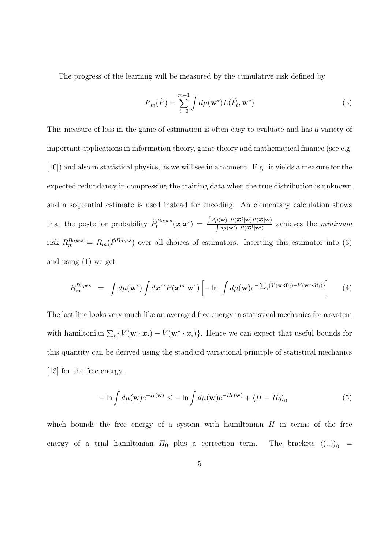The progress of the learning will be measured by the cumulative risk defined by

$$
R_m(\hat{P}) = \sum_{t=0}^{m-1} \int d\mu(\mathbf{w}^*) L(\hat{P}_t, \mathbf{w}^*)
$$
\n(3)

This measure of loss in the game of estimation is often easy to evaluate and has a variety of important applications in information theory, game theory and mathematical finance (see e.g. [10]) and also in statistical physics, as we will see in a moment. E.g. it yields a measure for the expected redundancy in compressing the training data when the true distribution is unknown and a sequential estimate is used instead for encoding. An elementary calculation shows that the posterior probability  $\hat{P}_t^{Bayes}(\boldsymbol{x}|\boldsymbol{x}^t) = \frac{\int d\mu(\mathbf{w}) P(\boldsymbol{x}^t|\mathbf{w}) P(\boldsymbol{x}^t|\mathbf{w})}{\int d\mu(\mathbf{w}') P(\boldsymbol{x}^t|\mathbf{w}')}$  $\int d\mu(\mathbf{w}) P(\mathbf{x}^t | \mathbf{w})$  achieves the *minimum* risk  $R_m^{Bayes} = R_m(\hat{P}^{Bayes})$  over all choices of estimators. Inserting this estimator into (3) and using (1) we get

$$
R_m^{Bayes} = \int d\mu(\mathbf{w}^*) \int d\mathbf{x}^m P(\mathbf{x}^m | \mathbf{w}^*) \left[ -\ln \int d\mu(\mathbf{w}) e^{-\sum_i \{V(\mathbf{w} \cdot \mathbf{x}_i) - V(\mathbf{w}^* \cdot \mathbf{x}_i)\}} \right] \tag{4}
$$

The last line looks very much like an averaged free energy in statistical mechanics for a system with hamiltonian  $\sum_i \{V(\mathbf{w} \cdot \mathbf{x}_i) - V(\mathbf{w}^* \cdot \mathbf{x}_i)\}\$ . Hence we can expect that useful bounds for this quantity can be derived using the standard variational principle of statistical mechanics [13] for the free energy.

$$
-\ln \int d\mu(\mathbf{w}) e^{-H(\mathbf{w})} \le -\ln \int d\mu(\mathbf{w}) e^{-H_0(\mathbf{w})} + \langle H - H_0 \rangle_0 \tag{5}
$$

which bounds the free energy of a system with hamiltonian  $H$  in terms of the free energy of a trial hamiltonian  $H_0$  plus a correction term. The brackets  $\langle (..)\rangle_0$  =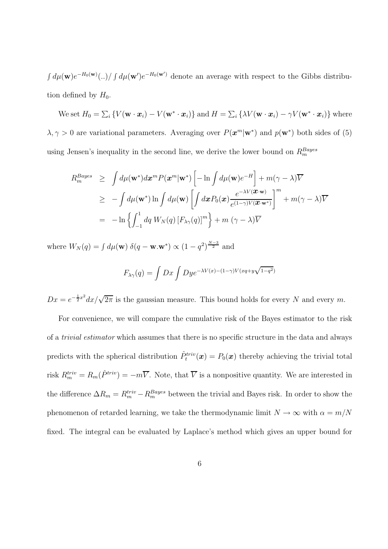$\int d\mu(\mathbf{w})e^{-H_0(\mathbf{w})}$ ...)  $\int d\mu(\mathbf{w}')e^{-H_0(\mathbf{w}')}$  denote an average with respect to the Gibbs distribution defined by  $H_0$ .

We set  $H_0 = \sum_i \{ V(\mathbf{w} \cdot \mathbf{x}_i) - V(\mathbf{w}^* \cdot \mathbf{x}_i) \}$  and  $H = \sum_i \{ \lambda V(\mathbf{w} \cdot \mathbf{x}_i) - \gamma V(\mathbf{w}^* \cdot \mathbf{x}_i) \}$  where  $\lambda, \gamma > 0$  are variational parameters. Averaging over  $P(\mathbf{x}^m | \mathbf{w}^*)$  and  $p(\mathbf{w}^*)$  both sides of (5) using Jensen's inequality in the second line, we derive the lower bound on  $R_m^{Bayes}$ 

$$
R_m^{Bayes} \geq \int d\mu(\mathbf{w}^*) d\mathbf{x}^m P(\mathbf{x}^m | \mathbf{w}^*) \left[ -\ln \int d\mu(\mathbf{w}) e^{-H} \right] + m(\gamma - \lambda) \overline{V}
$$
  
\n
$$
\geq -\int d\mu(\mathbf{w}^*) \ln \int d\mu(\mathbf{w}) \left[ \int d\mathbf{x} P_0(\mathbf{x}) \frac{e^{-\lambda V(\mathbf{x} \cdot \mathbf{w})}}{e^{(1-\gamma)V(\mathbf{x} \cdot \mathbf{w}^*)}} \right]^m + m(\gamma - \lambda) \overline{V}
$$
  
\n
$$
= -\ln \left\{ \int_{-1}^1 dq \ W_N(q) \left[ F_{\lambda \gamma}(q) \right]^m \right\} + m (\gamma - \lambda) \overline{V}
$$

where  $W_N(q) = \int d\mu(\mathbf{w}) \delta(q - \mathbf{w}.\mathbf{w}^*) \propto (1 - q^2)^{\frac{N-3}{2}}$  and

$$
F_{\lambda\gamma}(q) = \int Dx \int Dy e^{-\lambda V(x) - (1-\gamma)V(xq+y\sqrt{1-q^2})}
$$

 $Dx = e^{-\frac{1}{2}x^2} dx/\sqrt{2\pi}$  is the gaussian measure. This bound holds for every N and every m.

For convenience, we will compare the cumulative risk of the Bayes estimator to the risk of a trivial estimator which assumes that there is no specific structure in the data and always predicts with the spherical distribution  $\hat{P}^{triv}_{t}(\boldsymbol{x}) = P_0(\boldsymbol{x})$  thereby achieving the trivial total risk  $R_m^{triv} = R_m(\hat{P}^{triv}) = -m\overline{V}$ . Note, that  $\overline{V}$  is a nonpositive quantity. We are interested in the difference  $\Delta R_m = R_m^{triv} - R_m^{Bayes}$  between the trivial and Bayes risk. In order to show the phenomenon of retarded learning, we take the thermodynamic limit  $N \to \infty$  with  $\alpha = m/N$ fixed. The integral can be evaluated by Laplace's method which gives an upper bound for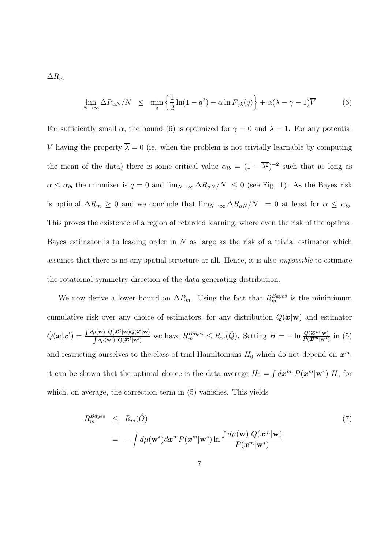$\Delta R_m$ 

$$
\lim_{N \to \infty} \Delta R_{\alpha N} / N \leq \min_{q} \left\{ \frac{1}{2} \ln(1 - q^2) + \alpha \ln F_{\gamma \lambda}(q) \right\} + \alpha (\lambda - \gamma - 1) \overline{V}
$$
 (6)

For sufficiently small  $\alpha$ , the bound (6) is optimized for  $\gamma = 0$  and  $\lambda = 1$ . For any potential V having the property  $\overline{\lambda} = 0$  (ie. when the problem is not trivially learnable by computing the mean of the data) there is some critical value  $\alpha_{lb} = (1 - \overline{\lambda^2})^{-2}$  such that as long as  $\alpha \leq \alpha_{lb}$  the minmizer is  $q = 0$  and  $\lim_{N\to\infty} \Delta R_{\alpha N}/N \leq 0$  (see Fig. 1). As the Bayes risk is optimal  $\Delta R_m \ge 0$  and we conclude that  $\lim_{N\to\infty} \Delta R_{\alpha N}/N = 0$  at least for  $\alpha \le \alpha_{lb}$ . This proves the existence of a region of retarded learning, where even the risk of the optimal Bayes estimator is to leading order in  $N$  as large as the risk of a trivial estimator which assumes that there is no any spatial structure at all. Hence, it is also impossible to estimate the rotational-symmetry direction of the data generating distribution.

We now derive a lower bound on  $\Delta R_m$ . Using the fact that  $R_m^{Bayes}$  is the minimimum cumulative risk over any choice of estimators, for any distribution  $Q(\mathbf{x}|\mathbf{w})$  and estimator  $\hat{Q}(\boldsymbol{x}|\boldsymbol{x}^t)=\frac{\int d\mu(\mathbf{w})\,\,Q(\boldsymbol{x}^t|\mathbf{w})Q(\boldsymbol{x}|\mathbf{w})}{\int d\mu(\mathbf{w}')\,\,Q(\boldsymbol{x}^t|\mathbf{w}')}$  $\frac{\mu(\mathbf{w}) Q(\mathbf{x}^t | \mathbf{w}) Q(\mathbf{x}^t | \mathbf{w})}{\int d\mu(\mathbf{w}') Q(\mathbf{x}^t | \mathbf{w}')}$  we have  $R_m^{Bayes} \leq R_m(\hat{Q})$ . Setting  $H = -\ln \frac{Q(\mathbf{x}^m | \mathbf{w})}{P(\mathbf{x}^m | \mathbf{w}^*)}$  in (5) and restricting ourselves to the class of trial Hamiltonians  $H_0$  which do not depend on  $\boldsymbol{x}^m$ , it can be shown that the optimal choice is the data average  $H_0 = \int d\mathbf{x}^m P(\mathbf{x}^m | \mathbf{w}^*) H$ , for which, on average, the correction term in (5) vanishes. This yields

$$
R_m^{Bayes} \leq R_m(\hat{Q})
$$
  
= 
$$
- \int d\mu(\mathbf{w}^*) d\mathbf{x}^m P(\mathbf{x}^m | \mathbf{w}^*) \ln \frac{\int d\mu(\mathbf{w}) Q(\mathbf{x}^m | \mathbf{w})}{P(\mathbf{x}^m | \mathbf{w}^*)}
$$
 (7)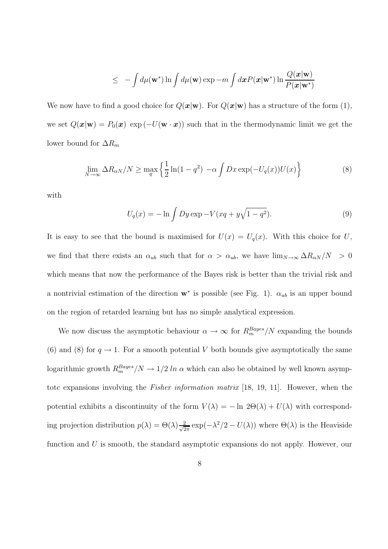$$
\leq -\int d\mu(\mathbf{w}^*) \ln \int d\mu(\mathbf{w}) \exp -m \int d\mathbf{x} P(\mathbf{x}|\mathbf{w}^*) \ln \frac{Q(\mathbf{x}|\mathbf{w})}{P(\mathbf{x}|\mathbf{w}^*)}
$$

We now have to find a good choice for  $Q(\mathbf{x}|\mathbf{w})$ . For  $Q(\mathbf{x}|\mathbf{w})$  has a structure of the form (1), we set  $Q(\mathbf{x}|\mathbf{w}) = P_0(\mathbf{x}) \exp(-U(\mathbf{w} \cdot \mathbf{x}))$  such that in the thermodynamic limit we get the lower bound for  $\Delta R_m$ 

$$
\lim_{N \to \infty} \Delta R_{\alpha N} / N \ge \max_{q} \left\{ \frac{1}{2} \ln(1 - q^2) - \alpha \int Dx \exp(-U_q(x)) U(x) \right\} \tag{8}
$$

with

$$
U_q(x) = -\ln \int Dy \exp -V(xq + y\sqrt{1 - q^2}).
$$
\n(9)

It is easy to see that the bound is maximised for  $U(x) = U_q(x)$ . With this choice for U, we find that there exists an  $\alpha_{ub}$  such that for  $\alpha > \alpha_{ub}$ , we have  $\lim_{N\to\infty} \Delta R_{\alpha N}/N > 0$ which means that now the performance of the Bayes risk is better than the trivial risk and a nontrivial estimation of the direction  $\mathbf{w}^*$  is possible (see Fig. 1).  $\alpha_{ub}$  is an upper bound on the region of retarded learning but has no simple analytical expression.

We now discuss the asymptotic behaviour  $\alpha \to \infty$  for  $R_m^{Bayes}/N$  expanding the bounds (6) and (8) for  $q \to 1$ . For a smooth potential V both bounds give asymptotically the same logarithmic growth  $R_m^{Bayes}/N \to 1/2$  ln  $\alpha$  which can also be obtained by well known asymptotc expansions involving the Fisher information matrix [18, 19, 11]. However, when the potential exhibits a discontinuity of the form  $V(\lambda) = -\ln 2\Theta(\lambda) + U(\lambda)$  with corresponding projection distribution  $p(\lambda) = \Theta(\lambda) \frac{2}{\sqrt{2}}$  $\frac{2}{2\pi} \exp(-\lambda^2/2 - U(\lambda))$  where  $\Theta(\lambda)$  is the Heaviside function and U is smooth, the standard asymptotic expansions do not apply. However, our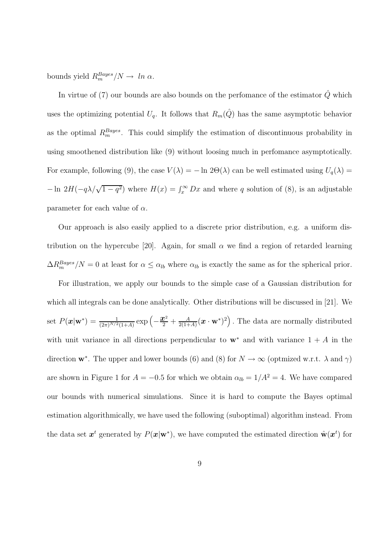bounds yield  $R_m^{Bayes}/N \to \ln \alpha$ .

In virtue of (7) our bounds are also bounds on the perfomance of the estimator  $\hat{Q}$  which uses the optimizing potential  $U_q$ . It follows that  $R_m(\hat{Q})$  has the same asymptotic behavior as the optimal  $R_m^{Bayes}$ . This could simplify the estimation of discontinuous probability in using smoothened distribution like (9) without loosing much in perfomance asymptotically. For example, following (9), the case  $V(\lambda) = -\ln 2\Theta(\lambda)$  can be well estimated using  $U_q(\lambda) =$  $-\ln 2H(-q\lambda/\sqrt{1-q^2})$  where  $H(x) = \int_x^{\infty} Dx$  and where q solution of (8), is an adjustable parameter for each value of  $\alpha$ .

Our approach is also easily applied to a discrete prior distribution, e.g. a uniform distribution on the hypercube [20]. Again, for small  $\alpha$  we find a region of retarded learning  $\Delta R_m^{Bayes}/N = 0$  at least for  $\alpha \leq \alpha_{lb}$  where  $\alpha_{lb}$  is exactly the same as for the spherical prior.

For illustration, we apply our bounds to the simple case of a Gaussian distribution for which all integrals can be done analytically. Other distributions will be discussed in [21]. We set  $P(\bm{x}|\mathbf{w}^*) = \frac{1}{(2\pi)^{N/2}(1+A)} \exp(-\frac{1}{2})$  $\frac{x^2}{2} + \frac{A}{2(1+)}$  $\frac{A}{2(1+A)}(\boldsymbol{x}\cdot\mathbf{w}^*)^2\Big)$ . The data are normally distributed with unit variance in all directions perpendicular to  $w^*$  and with variance  $1 + A$  in the direction  $\mathbf{w}^*$ . The upper and lower bounds (6) and (8) for  $N \to \infty$  (optmized w.r.t.  $\lambda$  and  $\gamma$ ) are shown in Figure 1 for  $A = -0.5$  for which we obtain  $\alpha_{lb} = 1/A^2 = 4$ . We have compared our bounds with numerical simulations. Since it is hard to compute the Bayes optimal estimation algorithmically, we have used the following (suboptimal) algorithm instead. From the data set  $x^t$  generated by  $P(x|w^*)$ , we have computed the estimated direction  $\hat{\mathbf{w}}(x^t)$  for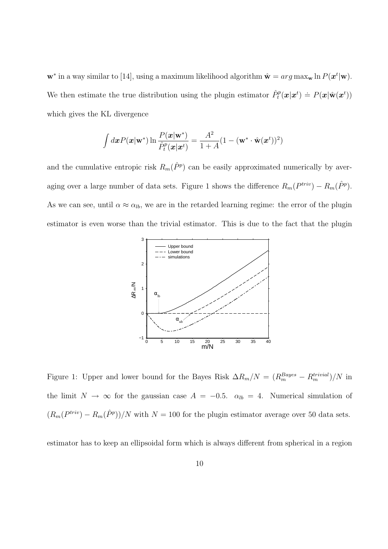$\mathbf{w}^*$  in a way similar to [14], using a maximum likelihood algorithm  $\hat{\mathbf{w}} = arg \max_{\mathbf{w}} \ln P(\mathbf{x}^t | \mathbf{w})$ . We then estimate the true distribution using the plugin estimator  $\hat{P}_t^p(\bm{x}|\bm{x}^t) \doteq P(\bm{x}|\hat{\mathbf{w}}(\bm{x}^t))$ which gives the KL divergence

$$
\int d\boldsymbol{x} P(\boldsymbol{x}|\mathbf{w}^*) \ln \frac{P(\boldsymbol{x}|\mathbf{w}^*)}{\hat{P}_t^p(\boldsymbol{x}|\boldsymbol{x}^t)} = \frac{A^2}{1+A} (1 - (\mathbf{w}^* \cdot \hat{\mathbf{w}}(\boldsymbol{x}^t))^2)
$$

and the cumulative entropic risk  $R_m(\hat{P}^p)$  can be easily approximated numerically by averaging over a large number of data sets. Figure 1 shows the difference  $R_m(P^{triv}) - R_m(\hat{P}^p)$ . As we can see, until  $\alpha \approx \alpha_{lb}$ , we are in the retarded learning regime: the error of the plugin estimator is even worse than the trivial estimator. This is due to the fact that the plugin



Figure 1: Upper and lower bound for the Bayes Risk  $\Delta R_m/N = (R_m^{Bayes} - R_m^{trivial})/N$  in the limit  $N \to \infty$  for the gaussian case  $A = -0.5$ .  $\alpha_{lb} = 4$ . Numerical simulation of  $(R_m(P^{triv}) - R_m(\hat{P}^p))/N$  with  $N = 100$  for the plugin estimator average over 50 data sets.

estimator has to keep an ellipsoidal form which is always different from spherical in a region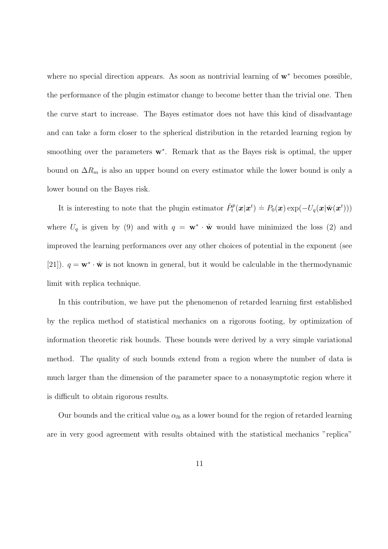where no special direction appears. As soon as nontrivial learning of w<sup>∗</sup> becomes possible, the performance of the plugin estimator change to become better than the trivial one. Then the curve start to increase. The Bayes estimator does not have this kind of disadvantage and can take a form closer to the spherical distribution in the retarded learning region by smoothing over the parameters  $w^*$ . Remark that as the Bayes risk is optimal, the upper bound on  $\Delta R_m$  is also an upper bound on every estimator while the lower bound is only a lower bound on the Bayes risk.

It is interesting to note that the plugin estimator  $\hat{P}_t^p(x|x^t) \doteq P_0(x) \exp(-U_q(x|\hat{\mathbf{w}}(x^t)))$ where  $U_q$  is given by (9) and with  $q = \mathbf{w}^* \cdot \hat{\mathbf{w}}$  would have minimized the loss (2) and improved the learning performances over any other choices of potential in the exponent (see [21]).  $q = \mathbf{w}^* \cdot \hat{\mathbf{w}}$  is not known in general, but it would be calculable in the thermodynamic limit with replica technique.

In this contribution, we have put the phenomenon of retarded learning first established by the replica method of statistical mechanics on a rigorous footing, by optimization of information theoretic risk bounds. These bounds were derived by a very simple variational method. The quality of such bounds extend from a region where the number of data is much larger than the dimension of the parameter space to a nonasymptotic region where it is difficult to obtain rigorous results.

Our bounds and the critical value  $\alpha_{lb}$  as a lower bound for the region of retarded learning are in very good agreement with results obtained with the statistical mechanics "replica"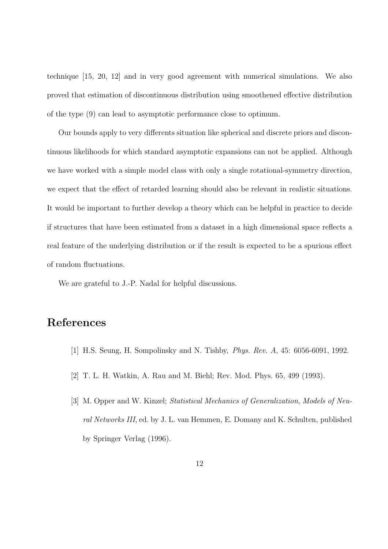technique [15, 20, 12] and in very good agreement with numerical simulations. We also proved that estimation of discontinuous distribution using smoothened effective distribution of the type (9) can lead to asymptotic performance close to optimum.

Our bounds apply to very differents situation like spherical and discrete priors and discontinuous likelihoods for which standard asymptotic expansions can not be applied. Although we have worked with a simple model class with only a single rotational-symmetry direction, we expect that the effect of retarded learning should also be relevant in realistic situations. It would be important to further develop a theory which can be helpful in practice to decide if structures that have been estimated from a dataset in a high dimensional space reflects a real feature of the underlying distribution or if the result is expected to be a spurious effect of random fluctuations.

We are grateful to J.-P. Nadal for helpful discussions.

## References

- [1] H.S. Seung, H. Sompolinsky and N. Tishby, Phys. Rev. A, 45: 6056-6091, 1992.
- [2] T. L. H. Watkin, A. Rau and M. Biehl; Rev. Mod. Phys. 65, 499 (1993).
- [3] M. Opper and W. Kinzel; Statistical Mechanics of Generalization, Models of Neural Networks III, ed. by J. L. van Hemmen, E. Domany and K. Schulten, published by Springer Verlag (1996).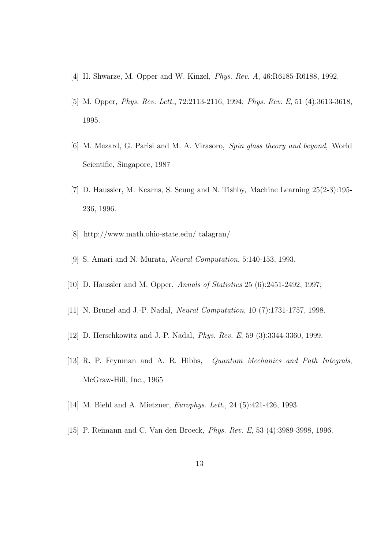- [4] H. Shwarze, M. Opper and W. Kinzel, Phys. Rev. A, 46:R6185-R6188, 1992.
- [5] M. Opper, Phys. Rev. Lett., 72:2113-2116, 1994; Phys. Rev. E, 51 (4):3613-3618, 1995.
- [6] M. Mezard, G. Parisi and M. A. Virasoro, Spin glass theory and beyond, World Scientific, Singapore, 1987
- [7] D. Haussler, M. Kearns, S. Seung and N. Tishby, Machine Learning 25(2-3):195- 236, 1996.
- [8] http://www.math.ohio-state.edu/ talagran/
- [9] S. Amari and N. Murata, Neural Computation, 5:140-153, 1993.
- [10] D. Haussler and M. Opper, Annals of Statistics 25 (6):2451-2492, 1997;
- [11] N. Brunel and J.-P. Nadal, Neural Computation, 10 (7):1731-1757, 1998.
- [12] D. Herschkowitz and J.-P. Nadal, *Phys. Rev. E*, 59 (3):3344-3360, 1999.
- [13] R. P. Feynman and A. R. Hibbs, Quantum Mechanics and Path Integrals, McGraw-Hill, Inc., 1965
- [14] M. Biehl and A. Mietzner, *Europhys. Lett.*, 24 (5):421-426, 1993.
- [15] P. Reimann and C. Van den Broeck, Phys. Rev. E, 53 (4):3989-3998, 1996.